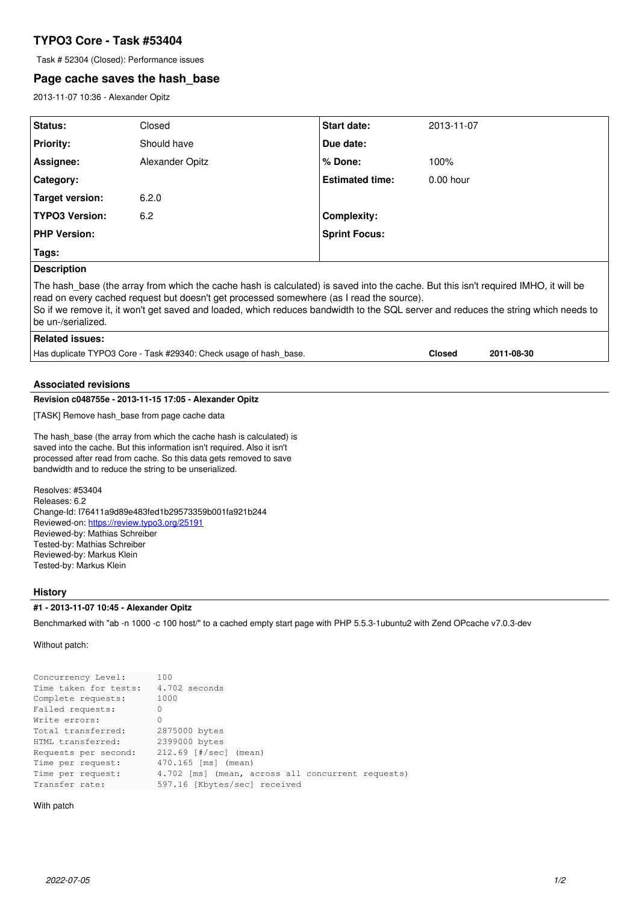# **TYPO3 Core - Task #53404**

Task # 52304 (Closed): Performance issues

# **Page cache saves the hash\_base**

2013-11-07 10:36 - Alexander Opitz

| Status:                                                | Closed                                                                                                                                                                                                                                                                           | <b>Start date:</b>     | 2013-11-07    |            |
|--------------------------------------------------------|----------------------------------------------------------------------------------------------------------------------------------------------------------------------------------------------------------------------------------------------------------------------------------|------------------------|---------------|------------|
| <b>Priority:</b>                                       | Should have                                                                                                                                                                                                                                                                      | Due date:              |               |            |
| Assignee:                                              | Alexander Opitz                                                                                                                                                                                                                                                                  | % Done:                | 100%          |            |
| Category:                                              |                                                                                                                                                                                                                                                                                  | <b>Estimated time:</b> | $0.00$ hour   |            |
| <b>Target version:</b>                                 | 6.2.0                                                                                                                                                                                                                                                                            |                        |               |            |
| <b>TYPO3 Version:</b>                                  | 6.2                                                                                                                                                                                                                                                                              | <b>Complexity:</b>     |               |            |
| <b>PHP Version:</b>                                    |                                                                                                                                                                                                                                                                                  | <b>Sprint Focus:</b>   |               |            |
| Tags:                                                  |                                                                                                                                                                                                                                                                                  |                        |               |            |
| <b>Description</b>                                     |                                                                                                                                                                                                                                                                                  |                        |               |            |
| be un-/serialized.<br><b>Related issues:</b>           | read on every cached request but doesn't get processed somewhere (as I read the source).<br>So if we remove it, it won't get saved and loaded, which reduces bandwidth to the SQL server and reduces the string which needs to                                                   |                        |               |            |
|                                                        | Has duplicate TYPO3 Core - Task #29340: Check usage of hash base.                                                                                                                                                                                                                |                        | <b>Closed</b> | 2011-08-30 |
| <b>Associated revisions</b>                            |                                                                                                                                                                                                                                                                                  |                        |               |            |
| Revision c048755e - 2013-11-15 17:05 - Alexander Opitz |                                                                                                                                                                                                                                                                                  |                        |               |            |
| [TASK] Remove hash base from page cache data           |                                                                                                                                                                                                                                                                                  |                        |               |            |
|                                                        | The hash base (the array from which the cache hash is calculated) is<br>saved into the cache. But this information isn't required. Also it isn't<br>processed after read from cache. So this data gets removed to save<br>bandwidth and to reduce the string to be unserialized. |                        |               |            |
| Resolves: #53404<br>Releases: 6.2                      | $\sim$ $\sim$ 1.1.170.444 $\sim$ 0.100 $\sim$ 400f $\sim$ 141.005700501.004f $\sim$ 0041.04                                                                                                                                                                                      |                        |               |            |

Change-Id: I76411a9d89e483fed1b29573359b001fa921b244 Reviewed-on:<https://review.typo3.org/25191> Reviewed-by: Mathias Schreiber Tested-by: Mathias Schreiber Reviewed-by: Markus Klein Tested-by: Markus Klein

## **History**

## **#1 - 2013-11-07 10:45 - Alexander Opitz**

Benchmarked with "ab -n 1000 -c 100 host/" to a cached empty start page with PHP 5.5.3-1ubuntu2 with Zend OPcache v7.0.3-dev

Without patch:

| Concurrency Level:    | 100                                               |
|-----------------------|---------------------------------------------------|
| Time taken for tests: | 4.702 seconds                                     |
| Complete requests:    | 1000                                              |
| Failed requests:      | 0                                                 |
| Write errors:         | 0                                                 |
| Total transferred:    | 2875000 bytes                                     |
| HTML transferred:     | 2399000 bytes                                     |
| Requests per second:  | $212.69$ [ $\#$ /sec] (mean)                      |
| Time per request:     | 470.165 [ms] (mean)                               |
| Time per request:     | 4.702 [ms] (mean, across all concurrent requests) |
| Transfer rate:        | 597.16 [Kbytes/sec] received                      |

With patch